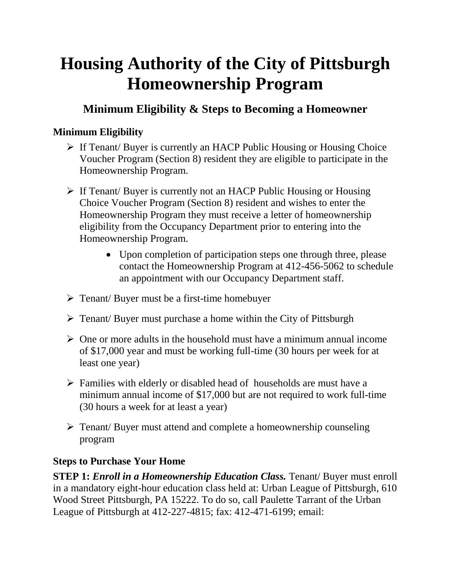# **Housing Authority of the City of Pittsburgh Homeownership Program**

## **Minimum Eligibility & Steps to Becoming a Homeowner**

### **Minimum Eligibility**

- $\triangleright$  If Tenant/ Buyer is currently an HACP Public Housing or Housing Choice Voucher Program (Section 8) resident they are eligible to participate in the Homeownership Program.
- If Tenant/ Buyer is currently not an HACP Public Housing or Housing Choice Voucher Program (Section 8) resident and wishes to enter the Homeownership Program they must receive a letter of homeownership eligibility from the Occupancy Department prior to entering into the Homeownership Program.
	- Upon completion of participation steps one through three, please contact the Homeownership Program at 412-456-5062 to schedule an appointment with our Occupancy Department staff.
- $\triangleright$  Tenant/ Buyer must be a first-time homebuyer
- Tenant/ Buyer must purchase a home within the City of Pittsburgh
- $\triangleright$  One or more adults in the household must have a minimum annual income of \$17,000 year and must be working full-time (30 hours per week for at least one year)
- $\triangleright$  Families with elderly or disabled head of households are must have a minimum annual income of \$17,000 but are not required to work full-time (30 hours a week for at least a year)
- Tenant/ Buyer must attend and complete a homeownership counseling program

#### **Steps to Purchase Your Home**

**STEP 1:** *Enroll in a Homeownership Education Class.* Tenant/ Buyer must enroll in a mandatory eight-hour education class held at: Urban League of Pittsburgh, 610 Wood Street Pittsburgh, PA 15222. To do so, call Paulette Tarrant of the Urban League of Pittsburgh at 412-227-4815; fax: 412-471-6199; email: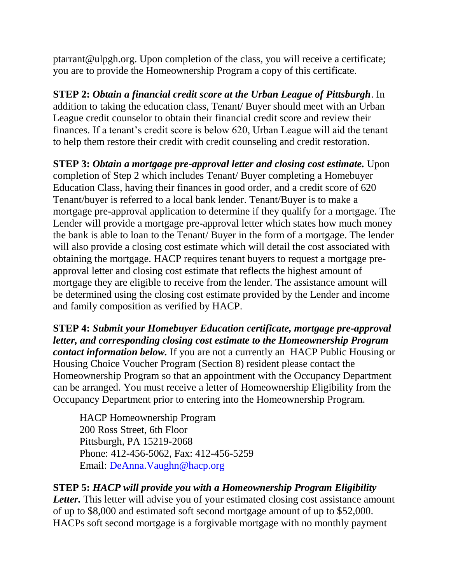ptarrant@ulpgh.org. Upon completion of the class, you will receive a certificate; you are to provide the Homeownership Program a copy of this certificate.

**STEP 2:** *Obtain a financial credit score at the Urban League of Pittsburgh*. In addition to taking the education class, Tenant/ Buyer should meet with an Urban League credit counselor to obtain their financial credit score and review their finances. If a tenant's credit score is below 620, Urban League will aid the tenant to help them restore their credit with credit counseling and credit restoration.

**STEP 3:** *Obtain a mortgage pre-approval letter and closing cost estimate.* Upon completion of Step 2 which includes Tenant/ Buyer completing a Homebuyer Education Class, having their finances in good order, and a credit score of 620 Tenant/buyer is referred to a local bank lender. Tenant/Buyer is to make a mortgage pre-approval application to determine if they qualify for a mortgage. The Lender will provide a mortgage pre-approval letter which states how much money the bank is able to loan to the Tenant/ Buyer in the form of a mortgage. The lender will also provide a closing cost estimate which will detail the cost associated with obtaining the mortgage. HACP requires tenant buyers to request a mortgage preapproval letter and closing cost estimate that reflects the highest amount of mortgage they are eligible to receive from the lender. The assistance amount will be determined using the closing cost estimate provided by the Lender and income and family composition as verified by HACP.

**STEP 4:** *Submit your Homebuyer Education certificate, mortgage pre-approval letter, and corresponding closing cost estimate to the Homeownership Program contact information below.* If you are not a currently an HACP Public Housing or Housing Choice Voucher Program (Section 8) resident please contact the Homeownership Program so that an appointment with the Occupancy Department can be arranged. You must receive a letter of Homeownership Eligibility from the Occupancy Department prior to entering into the Homeownership Program.

HACP Homeownership Program 200 Ross Street, 6th Floor Pittsburgh, PA 15219-2068 Phone: 412-456-5062, Fax: 412-456-5259 Email: DeAnna.Vaughn@hacp.org

**STEP 5:** *HACP will provide you with a Homeownership Program Eligibility* 

Letter. This letter will advise you of your estimated closing cost assistance amount of up to \$8,000 and estimated soft second mortgage amount of up to \$52,000. HACPs soft second mortgage is a forgivable mortgage with no monthly payment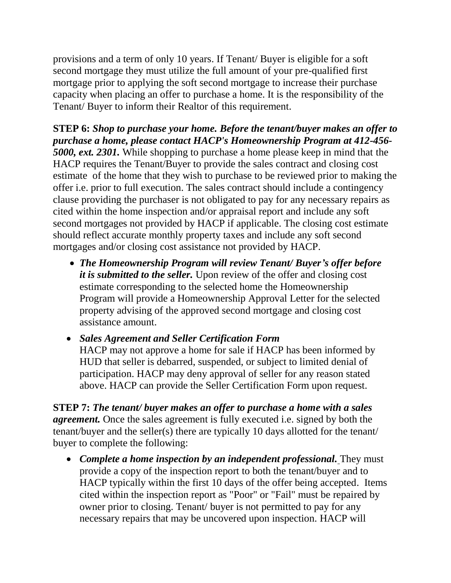provisions and a term of only 10 years. If Tenant/ Buyer is eligible for a soft second mortgage they must utilize the full amount of your pre-qualified first mortgage prior to applying the soft second mortgage to increase their purchase capacity when placing an offer to purchase a home. It is the responsibility of the Tenant/ Buyer to inform their Realtor of this requirement.

**STEP 6:** *Shop to purchase your home. Before the tenant/buyer makes an offer to purchase a home, please contact HACP's Homeownership Program at 412-456- 5000, ext. 2301.* While shopping to purchase a home please keep in mind that the HACP requires the Tenant/Buyer to provide the sales contract and closing cost estimate of the home that they wish to purchase to be reviewed prior to making the offer i.e. prior to full execution. The sales contract should include a contingency clause providing the purchaser is not obligated to pay for any necessary repairs as cited within the home inspection and/or appraisal report and include any soft second mortgages not provided by HACP if applicable. The closing cost estimate should reflect accurate monthly property taxes and include any soft second mortgages and/or closing cost assistance not provided by HACP.

- *The Homeownership Program will review Tenant/ Buyer's offer before it is submitted to the seller.* Upon review of the offer and closing cost estimate corresponding to the selected home the Homeownership Program will provide a Homeownership Approval Letter for the selected property advising of the approved second mortgage and closing cost assistance amount.
- *Sales Agreement and Seller Certification Form* HACP may not approve a home for sale if HACP has been informed by HUD that seller is debarred, suspended, or subject to limited denial of participation. HACP may deny approval of seller for any reason stated above. HACP can provide the Seller Certification Form upon request.

**STEP 7:** *The tenant/ buyer makes an offer to purchase a home with a sales agreement.* Once the sales agreement is fully executed i.e. signed by both the tenant/buyer and the seller(s) there are typically 10 days allotted for the tenant/ buyer to complete the following:

 *Complete a home inspection by an independent professional.* They must provide a copy of the inspection report to both the tenant/buyer and to HACP typically within the first 10 days of the offer being accepted. Items cited within the inspection report as "Poor" or "Fail" must be repaired by owner prior to closing. Tenant/ buyer is not permitted to pay for any necessary repairs that may be uncovered upon inspection. HACP will